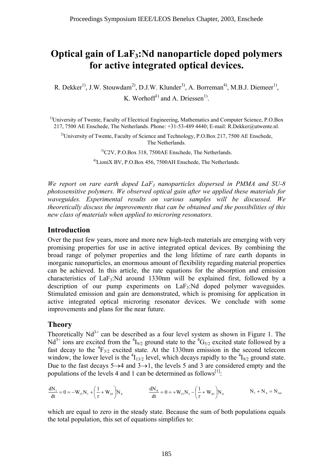# **Optical gain of LaF3:Nd nanoparticle doped polymers for active integrated optical devices.**

R. Dekker<sup>1)</sup>, J.W. Stouwdam<sup>2)</sup>, D.J.W. Klunder<sup>3)</sup>, A. Borreman<sup>4)</sup>, M.B.J. Diemeer<sup>1)</sup>, K. Worhoff<sup>1)</sup> and A. Driessen<sup>1)</sup>.

1)University of Twente, Faculty of Electrical Engineering, Mathematics and Computer Science, P.O.Box 217, 7500 AE Enschede, The Netherlands. Phone: +31-53-489 4440; E-mail: R.Dekker@utwente.nl.

<sup>2)</sup>University of Twente, Faculty of Science and Technology, P.O.Box 217, 7500 AE Enschede, The Netherlands.

> 3)C2V, P.O.Box 318, 7500AE Enschede, The Netherlands. <sup>4)</sup>LioniX BV, P.O.Box 456, 7500AH Enschede, The Netherlands.

*We report on rare earth doped LaF3 nanoparticles dispersed in PMMA and SU-8 photosensitive polymers. We observed optical gain after we applied these materials for waveguides. Experimental results on various samples will be discussed. We theoretically discuss the improvements that can be obtained and the possibilities of this new class of materials when applied to microring resonators.* 

## **Introduction**

Over the past few years, more and more new high-tech materials are emerging with very promising properties for use in active integrated optical devices. By combining the broad range of polymer properties and the long lifetime of rare earth dopants in inorganic nanoparticles, an enormous amount of flexibility regarding material properties can be achieved. In this article, the rate equations for the absorption and emission characteristics of LaF3:Nd around 1330nm will be explained first, followed by a description of our pump experiments on  $LaF_3:Nd$  doped polymer waveguides. Stimulated emission and gain are demonstrated, which is promising for application in active integrated optical microring resonator devices. We conclude with some improvements and plans for the near future.

## **Theory**

Theoretically  $Nd^{3+}$  can be described as a four level system as shown in Figure 1. The Nd<sup>3+</sup> ions are excited from the  ${}^{4}I_{9/2}$  ground state to the  ${}^{4}G_{5/2}$  excited state followed by a fast decay to the  ${}^{4}F_{3/2}$  excited state. At the 1330nm emission in the second telecom window, the lower level is the  ${}^{4}I_{13/2}$  level, which decays rapidly to the  ${}^{4}I_{9/2}$  ground state. Due to the fast decays  $5\rightarrow 4$  and  $3\rightarrow 1$ , the levels 5 and 3 are considered empty and the populations of the levels 4 and 1 can be determined as follows<sup>[1]</sup>:

$$
\frac{dN_1}{dt} = 0 = -W_{15}N_1 + \left(\frac{1}{\tau} + W_{43}\right)N_4\\ \hspace{1.5cm} \frac{dN_4}{dt} = 0 = +W_{15}N_1 - \left(\frac{1}{\tau} + W_{43}\right)N_4\\ \hspace{1.5cm} N_1 + N_4 = N_{tot}\\
$$

which are equal to zero in the steady state. Because the sum of both populations equals the total population, this set of equations simplifies to: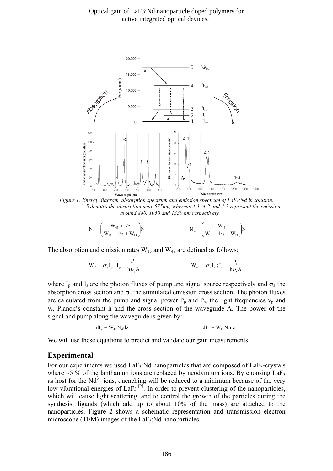Optical gain of LaF3:Nd nanoparticle doped polymers for active integrated optical devices.



*Figure 1: Energy diagram, absorption spectrum and emission spectrum of LaF<sub>3</sub>: Nd in solution.* 1-5 *denotes the absorption near 575nm, whereas 4-1, 4-2 and 4-3 represent the emission around 880, 1050 and 1330 nm respectively.* 

$$
N_1 = \left(\frac{W_{43} + 1/\tau}{W_{43} + 1/\tau + W_{15}}\right) N
$$
  

$$
N_4 = \left(\frac{W_{15}}{W_{43} + 1/\tau + W_{15}}\right) N
$$

The absorption and emission rates  $W_{15}$  and  $W_{43}$  are defined as follows:

$$
W_{15} = \sigma_a I_p ; I_p = \frac{P_p}{h \nu_p A}
$$
  
 
$$
W_{43} = \sigma_e I_s ; I_s = \frac{P_s}{h \nu_s A}
$$

where  $I_p$  and  $I_s$  are the photon fluxes of pump and signal source respectively and  $\sigma_a$  the absorption cross section and  $\sigma_e$  the stimulated emission cross section. The photon fluxes are calculated from the pump and signal power  $P_p$  and  $P_s$ , the light frequencies  $v_p$  and  $v<sub>s</sub>$ , Planck's constant h and the cross section of the waveguide A. The power of the signal and pump along the waveguide is given by:

$$
dI_s = W_{43} N_4 dz
$$
 
$$
dI_p = W_{15} N_1 dz
$$

We will use these equations to predict and validate our gain measurements.

#### **Experimental**

For our experiments we used  $LaF_3$ : Nd nanoparticles that are composed of  $LaF_3$ -crystals where  $\sim$  5 % of the lanthanum ions are replaced by neodymium ions. By choosing LaF<sub>3</sub> as host for the  $Nd^{3+}$  ions, quenching will be reduced to a minimum because of the very low vibrational energies of LaF<sub>3</sub><sup>[2]</sup>. In order to prevent clustering of the nanoparticles, which will cause light scattering, and to control the growth of the particles during the synthesis, ligands (which add up to about 10% of the mass) are attached to the nanoparticles. Figure 2 shows a schematic representation and transmission electron microscope (TEM) images of the  $LaF<sub>3</sub>:Nd$  nanoparticles.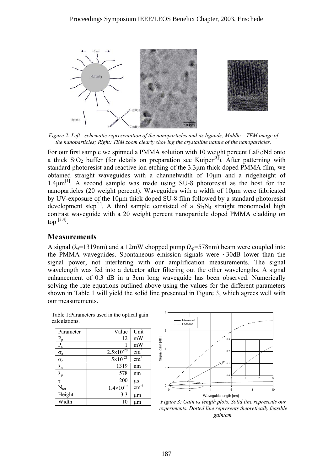

*Figure 2: Left - schematic representation of the nanoparticles and its ligands; Middle – TEM image of the nanoparticles; Right: TEM zoom clearly showing the crystalline nature of the nanoparticles.* 

For our first sample we spinned a PMMA solution with 10 weight percent  $LaF<sub>3</sub>:Nd$  onto a thick  $SiO<sub>2</sub>$  buffer (for details on preparation see Kuiper<sup>[3]</sup>). After patterning with standard photoresist and reactive ion etching of the 3.3µm thick doped PMMA film, we obtained straight waveguides with a channelwidth of 10µm and a ridgeheight of 1.4µm[1]. A second sample was made using SU-8 photoresist as the host for the nanoparticles (20 weight percent). Waveguides with a width of 10µm were fabricated by UV-exposure of the 10µm thick doped SU-8 film followed by a standard photoresist development step<sup>[1]</sup>. A third sample consisted of a  $Si<sub>3</sub>N<sub>4</sub>$  straight monomodal high contrast waveguide with a 20 weight percent nanoparticle doped PMMA cladding on top  $[3,4]$ .

### **Measurements**

A signal ( $\lambda$ <sub>s</sub>=1319nm) and a 12mW chopped pump ( $\lambda$ <sub>p</sub>=578nm) beam were coupled into the PMMA waveguides. Spontaneous emission signals were  $\sim$ 30dB lower than the signal power, not interfering with our amplification measurements. The signal wavelength was fed into a detector after filtering out the other wavelengths. A signal enhancement of 0.3 dB in a 3cm long waveguide has been observed. Numerically solving the rate equations outlined above using the values for the different parameters shown in Table 1 will yield the solid line presented in Figure 3, which agrees well with our measurements.

| Table 1: Parameters used in the optical gain |  |  |  |
|----------------------------------------------|--|--|--|
| calculations.                                |  |  |  |

| Parameter            | Value                 | Unit                        |
|----------------------|-----------------------|-----------------------------|
| $P_p$                | 12                    | mW                          |
| $P_{s}$              |                       | mW                          |
| $\sigma_{a}$         | $2.5 \times 10^{-20}$ | $\text{cm}^2$               |
| $\sigma_{\rm e}$     | $5 \times 10^{-21}$   | cm                          |
| $\lambda_{\rm s}$    | 1319                  | nm                          |
| $\lambda_\mathrm{p}$ | 578                   | nm                          |
| τ                    | 200                   | $\mu$ s                     |
| $N_{\rm tot}$        | $1.4 \times 10^{19}$  | $\text{cm}^{\overline{-3}}$ |
| Height               | 3.3                   | um                          |
| Width                | 10                    | um                          |



*Figure 3: Gain vs length plots. Solid line represents our experiments. Dotted line represents theoretically feasible gain/cm.*